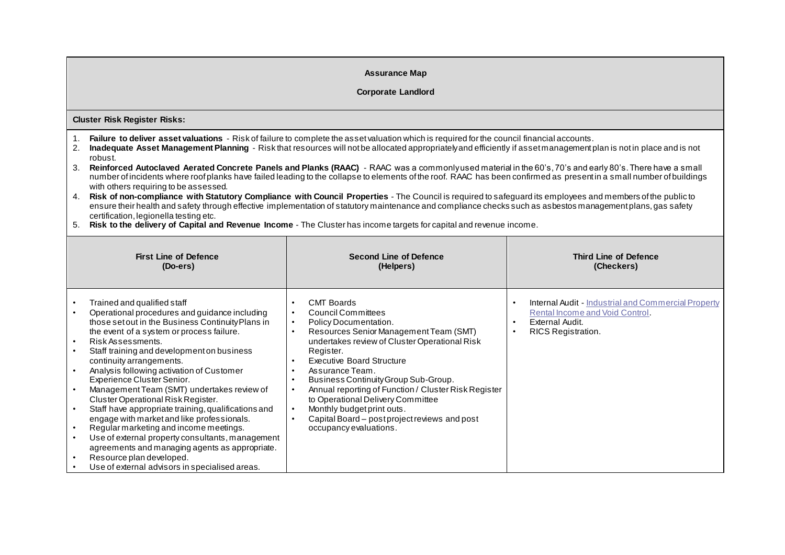## **Assurance Map**

## **Corporate Landlord**

**Cluster Risk Register Risks:**

- 1. **Failure to deliver asset valuations** Risk of failure to complete the asset valuation which is required for the council financial accounts.
- 2. **Inadequate Asset Management Planning** Risk that resources will not be allocated appropriately and efficiently if asset management plan is not in place and is not robust.
- 3. **Reinforced Autoclaved Aerated Concrete Panels and Planks (RAAC)** RAAC was a commonly used material in the 60's, 70's and early 80's. There have a small number of incidents where roof planks have failed leading to the collapse to elements of the roof. RAAC has been confirmed as present in a small number of buildings with others requiring to be assessed.
- 4. **Risk of non-compliance with Statutory Compliance with Council Properties** The Council is required to safeguard its employees and members of the public to ensure their health and safety through effective implementation of statutory maintenance and compliance checks such as asbestos management plans, gas safety certification, legionella testing etc.
- 5. **Risk to the delivery of Capital and Revenue Income** The Cluster has income targets for capital and revenue income.

| <b>First Line of Defence</b>                                                                                                                                                                                                                                                                                                                                                                                                                                                                                                                                                                                                                                                                                                                                                                 | <b>Second Line of Defence</b>                                                                                                                                                                                                                                                                                                                                                                                                                                                                                                     | <b>Third Line of Defence</b>                                                                                                                  |
|----------------------------------------------------------------------------------------------------------------------------------------------------------------------------------------------------------------------------------------------------------------------------------------------------------------------------------------------------------------------------------------------------------------------------------------------------------------------------------------------------------------------------------------------------------------------------------------------------------------------------------------------------------------------------------------------------------------------------------------------------------------------------------------------|-----------------------------------------------------------------------------------------------------------------------------------------------------------------------------------------------------------------------------------------------------------------------------------------------------------------------------------------------------------------------------------------------------------------------------------------------------------------------------------------------------------------------------------|-----------------------------------------------------------------------------------------------------------------------------------------------|
| (Do-ers)                                                                                                                                                                                                                                                                                                                                                                                                                                                                                                                                                                                                                                                                                                                                                                                     | (Helpers)                                                                                                                                                                                                                                                                                                                                                                                                                                                                                                                         | (Checkers)                                                                                                                                    |
| Trained and qualified staff<br>Operational procedures and guidance including<br>those set out in the Business Continuity Plans in<br>the event of a system or process failure.<br>Risk Assessments.<br>$\bullet$<br>Staff training and development on business<br>continuity arrangements.<br>Analysis following activation of Customer<br>Experience Cluster Senior.<br>Management Team (SMT) undertakes review of<br>Cluster Operational Risk Register.<br>Staff have appropriate training, qualifications and<br>engage with market and like professionals.<br>Regular marketing and income meetings.<br>Use of external property consultants, management<br>agreements and managing agents as appropriate.<br>Resource plan developed.<br>Use of external advisors in specialised areas. | <b>CMT Boards</b><br>$\bullet$<br>Council Committees<br>Policy Documentation.<br>$\bullet$<br>Resources Senior Management Team (SMT)<br>undertakes review of Cluster Operational Risk<br>Register.<br><b>Executive Board Structure</b><br>Assurance Team.<br>$\bullet$<br>Business Continuity Group Sub-Group.<br>$\bullet$<br>Annual reporting of Function / Cluster Risk Register<br>to Operational Delivery Committee<br>Monthly budget print outs.<br>Capital Board – post project reviews and post<br>occupancy evaluations. | <b>Internal Audit - Industrial and Commercial Property</b><br>Rental Income and Void Control.<br>External Audit.<br><b>RICS Registration.</b> |